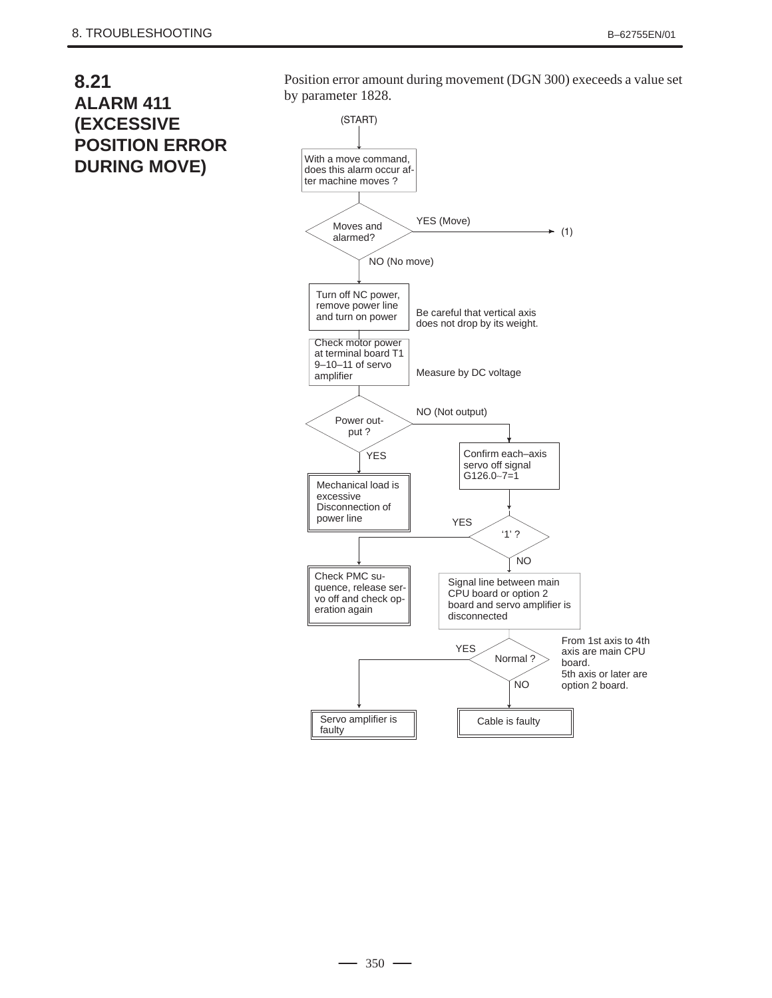## **8.21 ALARM 411 (EXCESSIVE POSITION ERROR DURING MOVE)**

Position error amount during movement (DGN 300) execeeds a value set by parameter 1828.